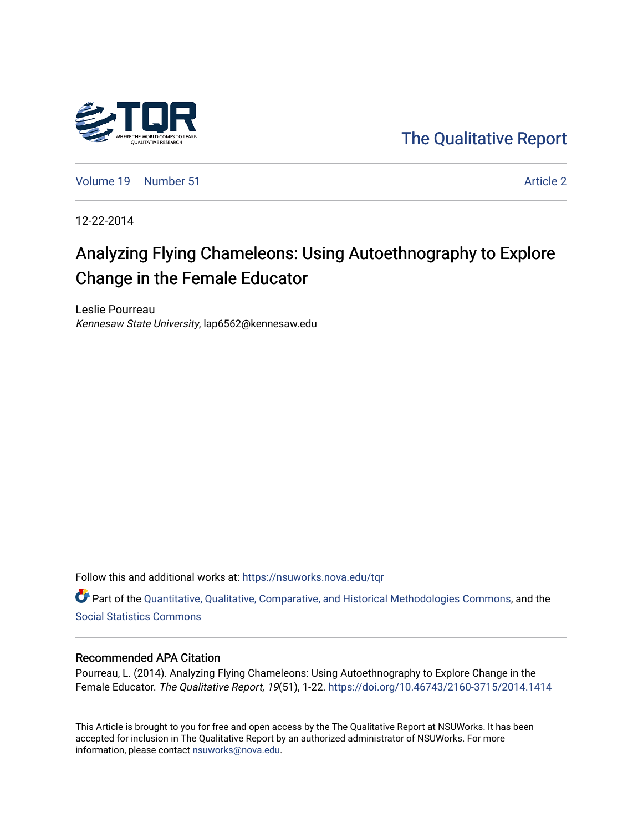

[The Qualitative Report](https://nsuworks.nova.edu/tqr) 

[Volume 19](https://nsuworks.nova.edu/tqr/vol19) [Number 51](https://nsuworks.nova.edu/tqr/vol19/iss51) Article 2

12-22-2014

# Analyzing Flying Chameleons: Using Autoethnography to Explore Change in the Female Educator

Leslie Pourreau Kennesaw State University, lap6562@kennesaw.edu

Follow this and additional works at: [https://nsuworks.nova.edu/tqr](https://nsuworks.nova.edu/tqr?utm_source=nsuworks.nova.edu%2Ftqr%2Fvol19%2Fiss51%2F2&utm_medium=PDF&utm_campaign=PDFCoverPages) 

Part of the [Quantitative, Qualitative, Comparative, and Historical Methodologies Commons,](http://network.bepress.com/hgg/discipline/423?utm_source=nsuworks.nova.edu%2Ftqr%2Fvol19%2Fiss51%2F2&utm_medium=PDF&utm_campaign=PDFCoverPages) and the [Social Statistics Commons](http://network.bepress.com/hgg/discipline/1275?utm_source=nsuworks.nova.edu%2Ftqr%2Fvol19%2Fiss51%2F2&utm_medium=PDF&utm_campaign=PDFCoverPages) 

#### Recommended APA Citation

Pourreau, L. (2014). Analyzing Flying Chameleons: Using Autoethnography to Explore Change in the Female Educator. The Qualitative Report, 19(51), 1-22. <https://doi.org/10.46743/2160-3715/2014.1414>

This Article is brought to you for free and open access by the The Qualitative Report at NSUWorks. It has been accepted for inclusion in The Qualitative Report by an authorized administrator of NSUWorks. For more information, please contact [nsuworks@nova.edu.](mailto:nsuworks@nova.edu)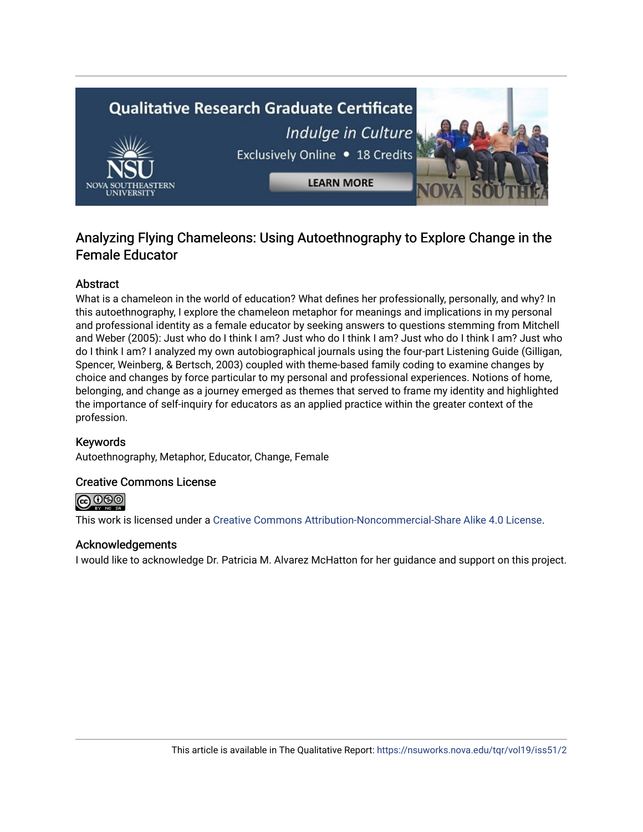

# Analyzing Flying Chameleons: Using Autoethnography to Explore Change in the Female Educator

# **Abstract**

What is a chameleon in the world of education? What defines her professionally, personally, and why? In this autoethnography, I explore the chameleon metaphor for meanings and implications in my personal and professional identity as a female educator by seeking answers to questions stemming from Mitchell and Weber (2005): Just who do I think I am? Just who do I think I am? Just who do I think I am? Just who do I think I am? I analyzed my own autobiographical journals using the four-part Listening Guide (Gilligan, Spencer, Weinberg, & Bertsch, 2003) coupled with theme-based family coding to examine changes by choice and changes by force particular to my personal and professional experiences. Notions of home, belonging, and change as a journey emerged as themes that served to frame my identity and highlighted the importance of self-inquiry for educators as an applied practice within the greater context of the profession.

## Keywords

Autoethnography, Metaphor, Educator, Change, Female

#### Creative Commons License



This work is licensed under a [Creative Commons Attribution-Noncommercial-Share Alike 4.0 License](https://creativecommons.org/licenses/by-nc-sa/4.0/).

#### Acknowledgements

I would like to acknowledge Dr. Patricia M. Alvarez McHatton for her guidance and support on this project.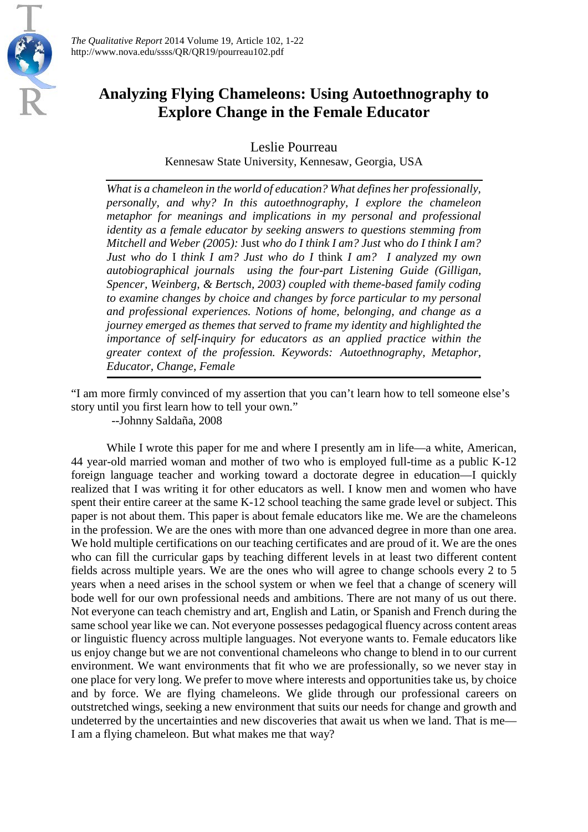

# **Analyzing Flying Chameleons: Using Autoethnography to Explore Change in the Female Educator**

Leslie Pourreau

Kennesaw State University, Kennesaw, Georgia, USA

*What is a chameleon in the world of education? What defines her professionally, personally, and why? In this autoethnography, I explore the chameleon metaphor for meanings and implications in my personal and professional identity as a female educator by seeking answers to questions stemming from Mitchell and Weber (2005):* Just *who do I think I am? Just* who *do I think I am? Just who do* I *think I am? Just who do I* think *I am? I analyzed my own autobiographical journals using the four-part Listening Guide (Gilligan, Spencer, Weinberg, & Bertsch, 2003) coupled with theme-based family coding to examine changes by choice and changes by force particular to my personal and professional experiences. Notions of home, belonging, and change as a journey emerged as themes that served to frame my identity and highlighted the importance of self-inquiry for educators as an applied practice within the greater context of the profession. Keywords: Autoethnography, Metaphor, Educator, Change, Female*

"I am more firmly convinced of my assertion that you can't learn how to tell someone else's story until you first learn how to tell your own."

--Johnny Saldaña, 2008

While I wrote this paper for me and where I presently am in life—a white, American, 44 year-old married woman and mother of two who is employed full-time as a public K-12 foreign language teacher and working toward a doctorate degree in education—I quickly realized that I was writing it for other educators as well. I know men and women who have spent their entire career at the same K-12 school teaching the same grade level or subject. This paper is not about them. This paper is about female educators like me. We are the chameleons in the profession. We are the ones with more than one advanced degree in more than one area. We hold multiple certifications on our teaching certificates and are proud of it. We are the ones who can fill the curricular gaps by teaching different levels in at least two different content fields across multiple years. We are the ones who will agree to change schools every 2 to 5 years when a need arises in the school system or when we feel that a change of scenery will bode well for our own professional needs and ambitions. There are not many of us out there. Not everyone can teach chemistry and art, English and Latin, or Spanish and French during the same school year like we can. Not everyone possesses pedagogical fluency across content areas or linguistic fluency across multiple languages. Not everyone wants to. Female educators like us enjoy change but we are not conventional chameleons who change to blend in to our current environment. We want environments that fit who we are professionally, so we never stay in one place for very long. We prefer to move where interests and opportunities take us, by choice and by force. We are flying chameleons. We glide through our professional careers on outstretched wings, seeking a new environment that suits our needs for change and growth and undeterred by the uncertainties and new discoveries that await us when we land. That is me— I am a flying chameleon. But what makes me that way?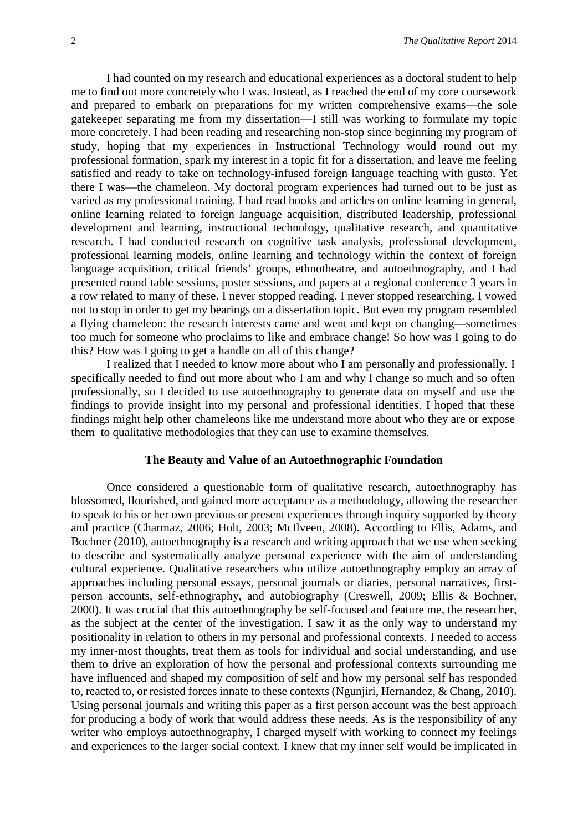I had counted on my research and educational experiences as a doctoral student to help me to find out more concretely who I was. Instead, as I reached the end of my core coursework and prepared to embark on preparations for my written comprehensive exams—the sole gatekeeper separating me from my dissertation—I still was working to formulate my topic more concretely. I had been reading and researching non-stop since beginning my program of study, hoping that my experiences in Instructional Technology would round out my professional formation, spark my interest in a topic fit for a dissertation, and leave me feeling satisfied and ready to take on technology-infused foreign language teaching with gusto. Yet there I was—the chameleon. My doctoral program experiences had turned out to be just as varied as my professional training. I had read books and articles on online learning in general, online learning related to foreign language acquisition, distributed leadership, professional development and learning, instructional technology, qualitative research, and quantitative research. I had conducted research on cognitive task analysis, professional development, professional learning models, online learning and technology within the context of foreign language acquisition, critical friends' groups, ethnotheatre, and autoethnography, and I had presented round table sessions, poster sessions, and papers at a regional conference 3 years in a row related to many of these. I never stopped reading. I never stopped researching. I vowed not to stop in order to get my bearings on a dissertation topic. But even my program resembled a flying chameleon: the research interests came and went and kept on changing—sometimes too much for someone who proclaims to like and embrace change! So how was I going to do this? How was I going to get a handle on all of this change?

I realized that I needed to know more about who I am personally and professionally. I specifically needed to find out more about who I am and why I change so much and so often professionally, so I decided to use autoethnography to generate data on myself and use the findings to provide insight into my personal and professional identities. I hoped that these findings might help other chameleons like me understand more about who they are or expose them to qualitative methodologies that they can use to examine themselves.

#### **The Beauty and Value of an Autoethnographic Foundation**

Once considered a questionable form of qualitative research, autoethnography has blossomed, flourished, and gained more acceptance as a methodology, allowing the researcher to speak to his or her own previous or present experiences through inquiry supported by theory and practice (Charmaz, 2006; Holt, 2003; McIlveen, 2008). According to Ellis, Adams, and Bochner (2010), autoethnography is a research and writing approach that we use when seeking to describe and systematically analyze personal experience with the aim of understanding cultural experience. Qualitative researchers who utilize autoethnography employ an array of approaches including personal essays, personal journals or diaries, personal narratives, firstperson accounts, self-ethnography, and autobiography (Creswell, 2009; Ellis & Bochner, 2000). It was crucial that this autoethnography be self-focused and feature me, the researcher, as the subject at the center of the investigation. I saw it as the only way to understand my positionality in relation to others in my personal and professional contexts. I needed to access my inner-most thoughts, treat them as tools for individual and social understanding, and use them to drive an exploration of how the personal and professional contexts surrounding me have influenced and shaped my composition of self and how my personal self has responded to, reacted to, or resisted forces innate to these contexts (Ngunjiri, Hernandez, & Chang, 2010). Using personal journals and writing this paper as a first person account was the best approach for producing a body of work that would address these needs. As is the responsibility of any writer who employs autoethnography, I charged myself with working to connect my feelings and experiences to the larger social context. I knew that my inner self would be implicated in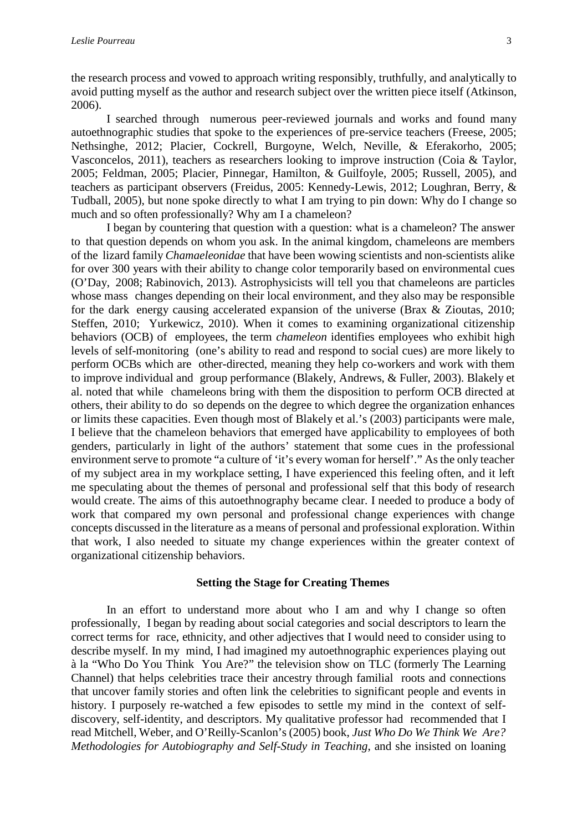the research process and vowed to approach writing responsibly, truthfully, and analytically to avoid putting myself as the author and research subject over the written piece itself (Atkinson, 2006).

I searched through numerous peer-reviewed journals and works and found many autoethnographic studies that spoke to the experiences of pre-service teachers (Freese, 2005; Nethsinghe, 2012; Placier, Cockrell, Burgoyne, Welch, Neville, & Eferakorho, 2005; Vasconcelos, 2011), teachers as researchers looking to improve instruction (Coia & Taylor, 2005; Feldman, 2005; Placier, Pinnegar, Hamilton, & Guilfoyle, 2005; Russell, 2005), and teachers as participant observers (Freidus, 2005: Kennedy-Lewis, 2012; Loughran, Berry, & Tudball, 2005), but none spoke directly to what I am trying to pin down: Why do I change so much and so often professionally? Why am I a chameleon?

I began by countering that question with a question: what is a chameleon? The answer to that question depends on whom you ask. In the animal kingdom, chameleons are members of the lizard family *Chamaeleonidae* that have been wowing scientists and non-scientists alike for over 300 years with their ability to change color temporarily based on environmental cues (O'Day, 2008; Rabinovich, 2013). Astrophysicists will tell you that chameleons are particles whose mass changes depending on their local environment, and they also may be responsible for the dark energy causing accelerated expansion of the universe (Brax & Zioutas, 2010; Steffen, 2010; Yurkewicz, 2010). When it comes to examining organizational citizenship behaviors (OCB) of employees, the term *chameleon* identifies employees who exhibit high levels of self-monitoring (one's ability to read and respond to social cues) are more likely to perform OCBs which are other-directed, meaning they help co-workers and work with them to improve individual and group performance (Blakely, Andrews, & Fuller, 2003). Blakely et al. noted that while chameleons bring with them the disposition to perform OCB directed at others, their ability to do so depends on the degree to which degree the organization enhances or limits these capacities. Even though most of Blakely et al.'s (2003) participants were male, I believe that the chameleon behaviors that emerged have applicability to employees of both genders, particularly in light of the authors' statement that some cues in the professional environment serve to promote "a culture of 'it's every woman for herself'." As the only teacher of my subject area in my workplace setting, I have experienced this feeling often, and it left me speculating about the themes of personal and professional self that this body of research would create. The aims of this autoethnography became clear. I needed to produce a body of work that compared my own personal and professional change experiences with change concepts discussed in the literature as a means of personal and professional exploration. Within that work, I also needed to situate my change experiences within the greater context of organizational citizenship behaviors.

#### **Setting the Stage for Creating Themes**

In an effort to understand more about who I am and why I change so often professionally, I began by reading about social categories and social descriptors to learn the correct terms for race, ethnicity, and other adjectives that I would need to consider using to describe myself. In my mind, I had imagined my autoethnographic experiences playing out à la "Who Do You Think You Are?" the television show on TLC (formerly The Learning Channel) that helps celebrities trace their ancestry through familial roots and connections that uncover family stories and often link the celebrities to significant people and events in history. I purposely re-watched a few episodes to settle my mind in the context of selfdiscovery, self-identity, and descriptors. My qualitative professor had recommended that I read Mitchell, Weber, and O'Reilly-Scanlon's (2005) book, *Just Who Do We Think We Are? Methodologies for Autobiography and Self-Study in Teaching*, and she insisted on loaning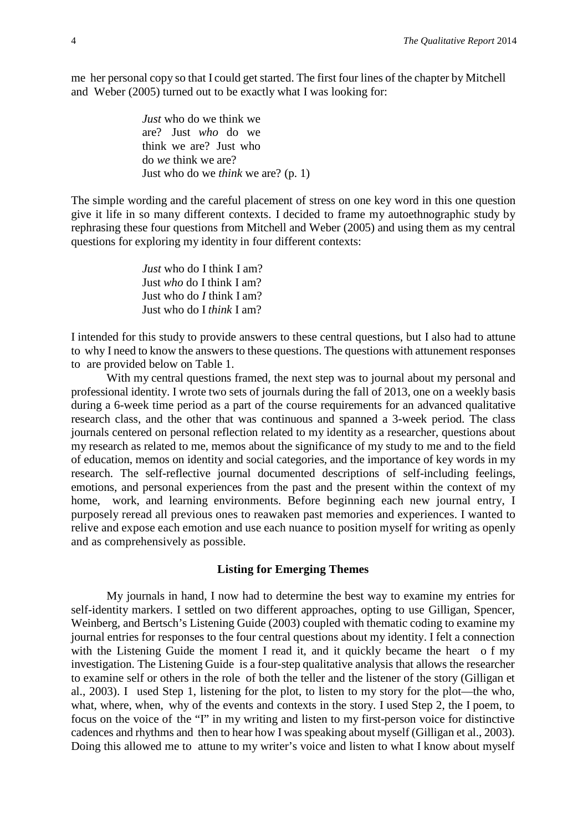me her personal copy so that I could get started. The first four lines of the chapter by Mitchell and Weber (2005) turned out to be exactly what I was looking for:

> *Just* who do we think we are? Just *who* do we think we are? Just who do *we* think we are? Just who do we *think* we are? (p. 1)

The simple wording and the careful placement of stress on one key word in this one question give it life in so many different contexts. I decided to frame my autoethnographic study by rephrasing these four questions from Mitchell and Weber (2005) and using them as my central questions for exploring my identity in four different contexts:

> *Just* who do I think I am? Just *who* do I think I am? Just who do *I* think I am? Just who do I *think* I am?

I intended for this study to provide answers to these central questions, but I also had to attune to why I need to know the answers to these questions. The questions with attunement responses to are provided below on Table 1.

With my central questions framed, the next step was to journal about my personal and professional identity. I wrote two sets of journals during the fall of 2013, one on a weekly basis during a 6-week time period as a part of the course requirements for an advanced qualitative research class, and the other that was continuous and spanned a 3-week period. The class journals centered on personal reflection related to my identity as a researcher, questions about my research as related to me, memos about the significance of my study to me and to the field of education, memos on identity and social categories, and the importance of key words in my research. The self-reflective journal documented descriptions of self-including feelings, emotions, and personal experiences from the past and the present within the context of my home, work, and learning environments. Before beginning each new journal entry, I purposely reread all previous ones to reawaken past memories and experiences. I wanted to relive and expose each emotion and use each nuance to position myself for writing as openly and as comprehensively as possible.

### **Listing for Emerging Themes**

My journals in hand, I now had to determine the best way to examine my entries for self-identity markers. I settled on two different approaches, opting to use Gilligan, Spencer, Weinberg, and Bertsch's Listening Guide (2003) coupled with thematic coding to examine my journal entries for responses to the four central questions about my identity. I felt a connection with the Listening Guide the moment I read it, and it quickly became the heart of my investigation. The Listening Guide is a four-step qualitative analysis that allows the researcher to examine self or others in the role of both the teller and the listener of the story (Gilligan et al., 2003). I used Step 1, listening for the plot, to listen to my story for the plot—the who, what, where, when, why of the events and contexts in the story. I used Step 2, the I poem, to focus on the voice of the "I" in my writing and listen to my first-person voice for distinctive cadences and rhythms and then to hear how I was speaking about myself (Gilligan et al., 2003). Doing this allowed me to attune to my writer's voice and listen to what I know about myself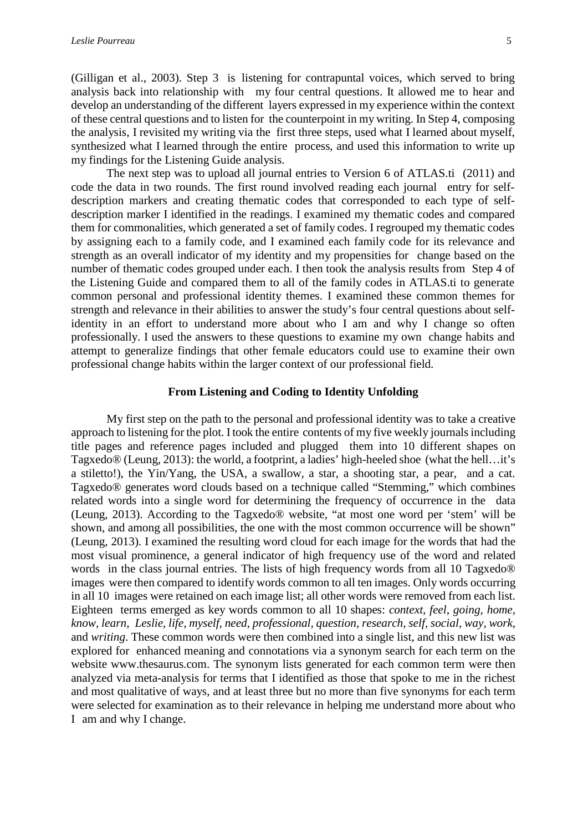(Gilligan et al., 2003). Step 3 is listening for contrapuntal voices, which served to bring analysis back into relationship with my four central questions. It allowed me to hear and develop an understanding of the different layers expressed in my experience within the context of these central questions and to listen for the counterpoint in my writing. In Step 4, composing the analysis, I revisited my writing via the first three steps, used what I learned about myself, synthesized what I learned through the entire process, and used this information to write up my findings for the Listening Guide analysis.

The next step was to upload all journal entries to Version 6 of ATLAS.ti (2011) and code the data in two rounds. The first round involved reading each journal entry for selfdescription markers and creating thematic codes that corresponded to each type of selfdescription marker I identified in the readings. I examined my thematic codes and compared them for commonalities, which generated a set of family codes. I regrouped my thematic codes by assigning each to a family code, and I examined each family code for its relevance and strength as an overall indicator of my identity and my propensities for change based on the number of thematic codes grouped under each. I then took the analysis results from Step 4 of the Listening Guide and compared them to all of the family codes in ATLAS.ti to generate common personal and professional identity themes. I examined these common themes for strength and relevance in their abilities to answer the study's four central questions about selfidentity in an effort to understand more about who I am and why I change so often professionally. I used the answers to these questions to examine my own change habits and attempt to generalize findings that other female educators could use to examine their own professional change habits within the larger context of our professional field.

#### **From Listening and Coding to Identity Unfolding**

My first step on the path to the personal and professional identity was to take a creative approach to listening for the plot. I took the entire contents of my five weekly journalsincluding title pages and reference pages included and plugged them into 10 different shapes on Tagxedo® (Leung, 2013): the world, a footprint, a ladies' high-heeled shoe (what the hell…it's a stiletto!), the Yin/Yang, the USA, a swallow, a star, a shooting star, a pear, and a cat. Tagxedo® generates word clouds based on a technique called "Stemming," which combines related words into a single word for determining the frequency of occurrence in the data (Leung, 2013). According to the Tagxedo® website, "at most one word per 'stem' will be shown, and among all possibilities, the one with the most common occurrence will be shown" (Leung, 2013). I examined the resulting word cloud for each image for the words that had the most visual prominence, a general indicator of high frequency use of the word and related words in the class journal entries. The lists of high frequency words from all 10 Tagxedo® images were then compared to identify words common to all ten images. Only words occurring in all 10 images were retained on each image list; all other words were removed from each list. Eighteen terms emerged as key words common to all 10 shapes: *context, feel, going, home, know, learn, Leslie, life, myself, need, professional, question, research, self, social, way, work,* and *writing*. These common words were then combined into a single list, and this new list was explored for enhanced meaning and connotations via a synonym search for each term on the website www.thesaurus.com. The synonym lists generated for each common term were then analyzed via meta-analysis for terms that I identified as those that spoke to me in the richest and most qualitative of ways, and at least three but no more than five synonyms for each term were selected for examination as to their relevance in helping me understand more about who I am and why I change.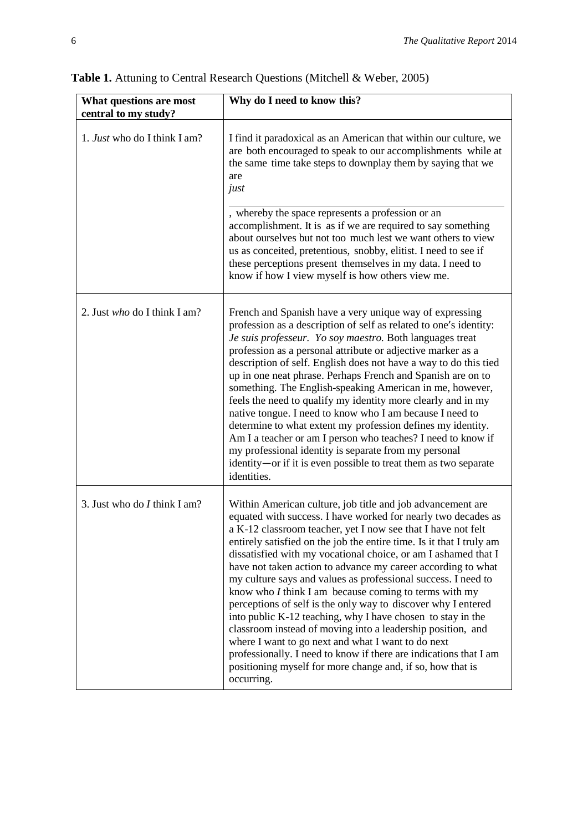| What questions are most<br>central to my study? | Why do I need to know this?                                                                                                                                                                                                                                                                                                                                                                                                                                                                                                                                                                                                                                                                                                                                                                                                                                                                                                             |
|-------------------------------------------------|-----------------------------------------------------------------------------------------------------------------------------------------------------------------------------------------------------------------------------------------------------------------------------------------------------------------------------------------------------------------------------------------------------------------------------------------------------------------------------------------------------------------------------------------------------------------------------------------------------------------------------------------------------------------------------------------------------------------------------------------------------------------------------------------------------------------------------------------------------------------------------------------------------------------------------------------|
| 1. <i>Just</i> who do I think I am?             | I find it paradoxical as an American that within our culture, we<br>are both encouraged to speak to our accomplishments while at<br>the same time take steps to downplay them by saying that we<br>are<br>just                                                                                                                                                                                                                                                                                                                                                                                                                                                                                                                                                                                                                                                                                                                          |
|                                                 | , whereby the space represents a profession or an<br>accomplishment. It is as if we are required to say something<br>about ourselves but not too much lest we want others to view<br>us as conceited, pretentious, snobby, elitist. I need to see if<br>these perceptions present themselves in my data. I need to<br>know if how I view myself is how others view me.                                                                                                                                                                                                                                                                                                                                                                                                                                                                                                                                                                  |
| 2. Just who do I think I am?                    | French and Spanish have a very unique way of expressing<br>profession as a description of self as related to one's identity:<br>Je suis professeur. Yo soy maestro. Both languages treat<br>profession as a personal attribute or adjective marker as a<br>description of self. English does not have a way to do this tied<br>up in one neat phrase. Perhaps French and Spanish are on to<br>something. The English-speaking American in me, however,<br>feels the need to qualify my identity more clearly and in my<br>native tongue. I need to know who I am because I need to<br>determine to what extent my profession defines my identity.<br>Am I a teacher or am I person who teaches? I need to know if<br>my professional identity is separate from my personal<br>identity—or if it is even possible to treat them as two separate<br>identities.                                                                           |
| 3. Just who do $I$ think I am?                  | Within American culture, job title and job advancement are<br>equated with success. I have worked for nearly two decades as<br>a K-12 classroom teacher, yet I now see that I have not felt<br>entirely satisfied on the job the entire time. Is it that I truly am<br>dissatisfied with my vocational choice, or am I ashamed that I<br>have not taken action to advance my career according to what<br>my culture says and values as professional success. I need to<br>know who $I$ think I am because coming to terms with my<br>perceptions of self is the only way to discover why I entered<br>into public K-12 teaching, why I have chosen to stay in the<br>classroom instead of moving into a leadership position, and<br>where I want to go next and what I want to do next<br>professionally. I need to know if there are indications that I am<br>positioning myself for more change and, if so, how that is<br>occurring. |

**Table 1.** Attuning to Central Research Questions (Mitchell & Weber, 2005)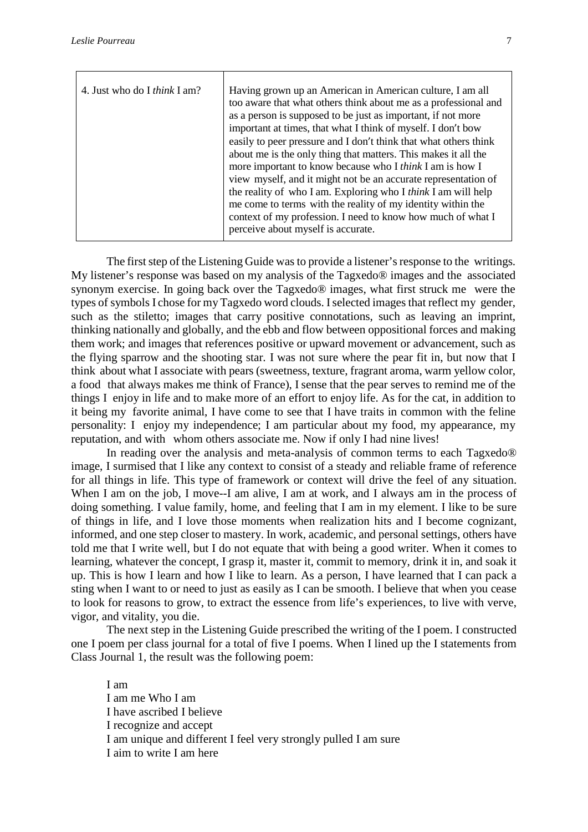| 4. Just who do I <i>think</i> I am? | Having grown up an American in American culture, I am all            |
|-------------------------------------|----------------------------------------------------------------------|
|                                     | too aware that what others think about me as a professional and      |
|                                     | as a person is supposed to be just as important, if not more         |
|                                     | important at times, that what I think of myself. I don't bow         |
|                                     | easily to peer pressure and I don't think that what others think     |
|                                     | about me is the only thing that matters. This makes it all the       |
|                                     | more important to know because who I think I am is how I             |
|                                     | view myself, and it might not be an accurate representation of       |
|                                     | the reality of who I am. Exploring who I <i>think</i> I am will help |
|                                     | me come to terms with the reality of my identity within the          |
|                                     | context of my profession. I need to know how much of what I          |
|                                     | perceive about myself is accurate.                                   |
|                                     |                                                                      |

The first step of the Listening Guide was to provide a listener's response to the writings. My listener's response was based on my analysis of the Tagxedo® images and the associated synonym exercise. In going back over the Tagxedo® images, what first struck me were the types of symbols I chose for my Tagxedo word clouds. Iselected images that reflect my gender, such as the stiletto; images that carry positive connotations, such as leaving an imprint, thinking nationally and globally, and the ebb and flow between oppositional forces and making them work; and images that references positive or upward movement or advancement, such as the flying sparrow and the shooting star. I was not sure where the pear fit in, but now that I think about what I associate with pears (sweetness, texture, fragrant aroma, warm yellow color, a food that always makes me think of France), I sense that the pear serves to remind me of the things I enjoy in life and to make more of an effort to enjoy life. As for the cat, in addition to it being my favorite animal, I have come to see that I have traits in common with the feline personality: I enjoy my independence; I am particular about my food, my appearance, my reputation, and with whom others associate me. Now if only I had nine lives!

In reading over the analysis and meta-analysis of common terms to each Tagxedo® image, I surmised that I like any context to consist of a steady and reliable frame of reference for all things in life. This type of framework or context will drive the feel of any situation. When I am on the job, I move--I am alive, I am at work, and I always am in the process of doing something. I value family, home, and feeling that I am in my element. I like to be sure of things in life, and I love those moments when realization hits and I become cognizant, informed, and one step closer to mastery. In work, academic, and personal settings, others have told me that I write well, but I do not equate that with being a good writer. When it comes to learning, whatever the concept, I grasp it, master it, commit to memory, drink it in, and soak it up. This is how I learn and how I like to learn. As a person, I have learned that I can pack a sting when I want to or need to just as easily as I can be smooth. I believe that when you cease to look for reasons to grow, to extract the essence from life's experiences, to live with verve, vigor, and vitality, you die.

The next step in the Listening Guide prescribed the writing of the I poem. I constructed one I poem per class journal for a total of five I poems. When I lined up the I statements from Class Journal 1, the result was the following poem:

I am I am me Who I am I have ascribed I believe I recognize and accept I am unique and different I feel very strongly pulled I am sure I aim to write I am here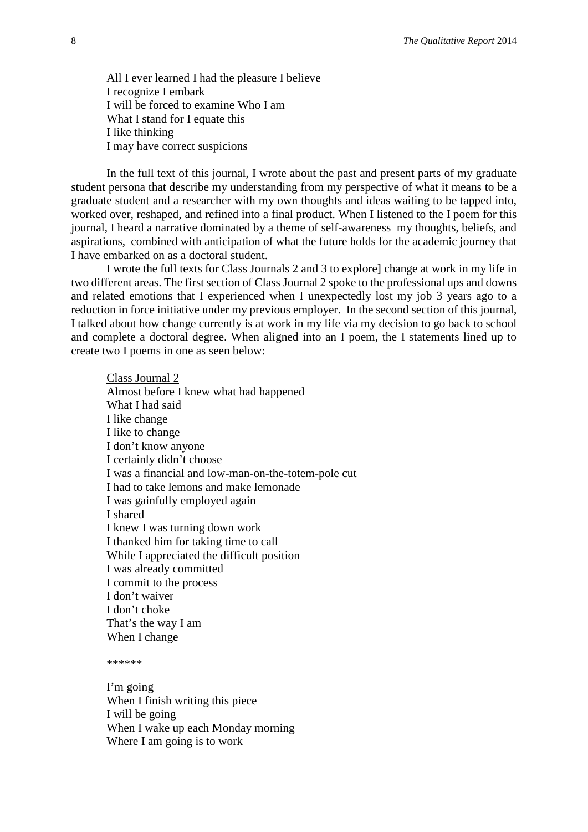All I ever learned I had the pleasure I believe I recognize I embark I will be forced to examine Who I am What I stand for I equate this I like thinking I may have correct suspicions

In the full text of this journal, I wrote about the past and present parts of my graduate student persona that describe my understanding from my perspective of what it means to be a graduate student and a researcher with my own thoughts and ideas waiting to be tapped into, worked over, reshaped, and refined into a final product. When I listened to the I poem for this journal, I heard a narrative dominated by a theme of self-awareness my thoughts, beliefs, and aspirations, combined with anticipation of what the future holds for the academic journey that I have embarked on as a doctoral student.

I wrote the full texts for Class Journals 2 and 3 to explore] change at work in my life in two different areas. The first section of Class Journal 2 spoke to the professional ups and downs and related emotions that I experienced when I unexpectedly lost my job 3 years ago to a reduction in force initiative under my previous employer. In the second section of this journal, I talked about how change currently is at work in my life via my decision to go back to school and complete a doctoral degree. When aligned into an I poem, the I statements lined up to create two I poems in one as seen below:

Class Journal 2 Almost before I knew what had happened What I had said I like change I like to change I don't know anyone I certainly didn't choose I was a financial and low-man-on-the-totem-pole cut I had to take lemons and make lemonade I was gainfully employed again I shared I knew I was turning down work I thanked him for taking time to call While I appreciated the difficult position I was already committed I commit to the process I don't waiver I don't choke That's the way I am When I change

\*\*\*\*\*\*

I'm going When I finish writing this piece I will be going When I wake up each Monday morning Where I am going is to work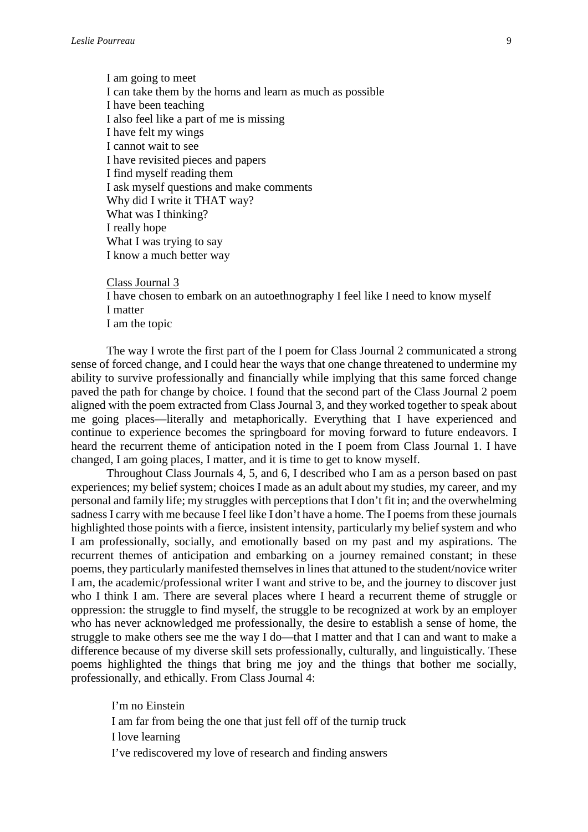I am going to meet I can take them by the horns and learn as much as possible I have been teaching I also feel like a part of me is missing I have felt my wings I cannot wait to see I have revisited pieces and papers I find myself reading them I ask myself questions and make comments Why did I write it THAT way? What was I thinking? I really hope What I was trying to say I know a much better way

Class Journal 3

I have chosen to embark on an autoethnography I feel like I need to know myself I matter I am the topic

The way I wrote the first part of the I poem for Class Journal 2 communicated a strong sense of forced change, and I could hear the ways that one change threatened to undermine my ability to survive professionally and financially while implying that this same forced change paved the path for change by choice. I found that the second part of the Class Journal 2 poem aligned with the poem extracted from Class Journal 3, and they worked together to speak about me going places—literally and metaphorically. Everything that I have experienced and continue to experience becomes the springboard for moving forward to future endeavors. I heard the recurrent theme of anticipation noted in the I poem from Class Journal 1. I have changed, I am going places, I matter, and it is time to get to know myself.

Throughout Class Journals 4, 5, and 6, I described who I am as a person based on past experiences; my belief system; choices I made as an adult about my studies, my career, and my personal and family life; my struggles with perceptions that I don't fit in; and the overwhelming sadness I carry with me because I feel like I don't have a home. The I poems from these journals highlighted those points with a fierce, insistent intensity, particularly my belief system and who I am professionally, socially, and emotionally based on my past and my aspirations. The recurrent themes of anticipation and embarking on a journey remained constant; in these poems, they particularly manifested themselves in lines that attuned to the student/novice writer I am, the academic/professional writer I want and strive to be, and the journey to discover just who I think I am. There are several places where I heard a recurrent theme of struggle or oppression: the struggle to find myself, the struggle to be recognized at work by an employer who has never acknowledged me professionally, the desire to establish a sense of home, the struggle to make others see me the way I do—that I matter and that I can and want to make a difference because of my diverse skill sets professionally, culturally, and linguistically. These poems highlighted the things that bring me joy and the things that bother me socially, professionally, and ethically. From Class Journal 4:

I'm no Einstein I am far from being the one that just fell off of the turnip truck I love learning I've rediscovered my love of research and finding answers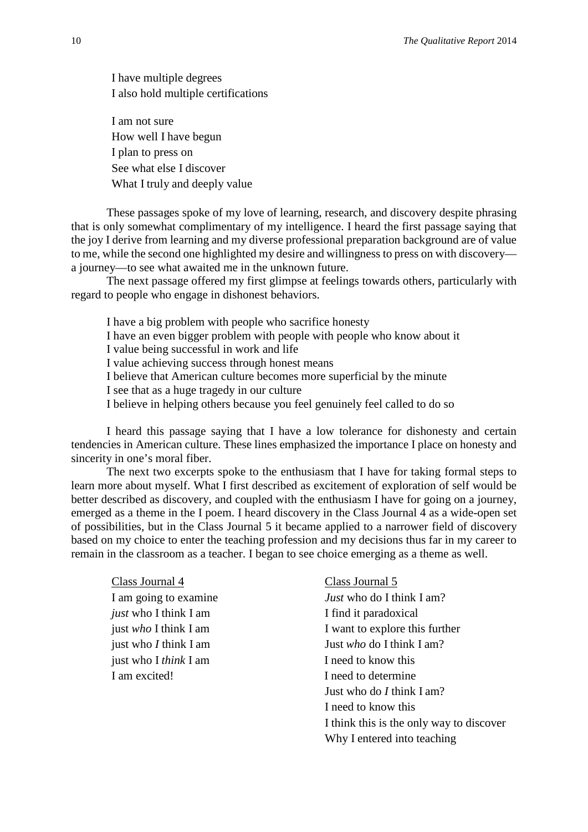I have multiple degrees I also hold multiple certifications

I am not sure How well I have begun I plan to press on See what else I discover What I truly and deeply value

These passages spoke of my love of learning, research, and discovery despite phrasing that is only somewhat complimentary of my intelligence. I heard the first passage saying that the joy I derive from learning and my diverse professional preparation background are of value to me, while the second one highlighted my desire and willingness to press on with discovery a journey—to see what awaited me in the unknown future.

The next passage offered my first glimpse at feelings towards others, particularly with regard to people who engage in dishonest behaviors.

I have a big problem with people who sacrifice honesty

I have an even bigger problem with people with people who know about it

I value being successful in work and life

I value achieving success through honest means

I believe that American culture becomes more superficial by the minute

I see that as a huge tragedy in our culture

I believe in helping others because you feel genuinely feel called to do so

I heard this passage saying that I have a low tolerance for dishonesty and certain tendencies in American culture. These lines emphasized the importance I place on honesty and sincerity in one's moral fiber.

The next two excerpts spoke to the enthusiasm that I have for taking formal steps to learn more about myself. What I first described as excitement of exploration of self would be better described as discovery, and coupled with the enthusiasm I have for going on a journey, emerged as a theme in the I poem. I heard discovery in the Class Journal 4 as a wide-open set of possibilities, but in the Class Journal 5 it became applied to a narrower field of discovery based on my choice to enter the teaching profession and my decisions thus far in my career to remain in the classroom as a teacher. I began to see choice emerging as a theme as well.

Class Journal 4 Class Journal 5 *just* who I think I am I find it paradoxical just who I *think* I am I need to know this I am excited! I need to determine

I am going to examine *Just* who do I think I am? just *who* I think I am I want to explore this further just who *I* think I am Just *who* do I think I am? Just who do *I* think I am? I need to know this I think this is the only way to discover Why I entered into teaching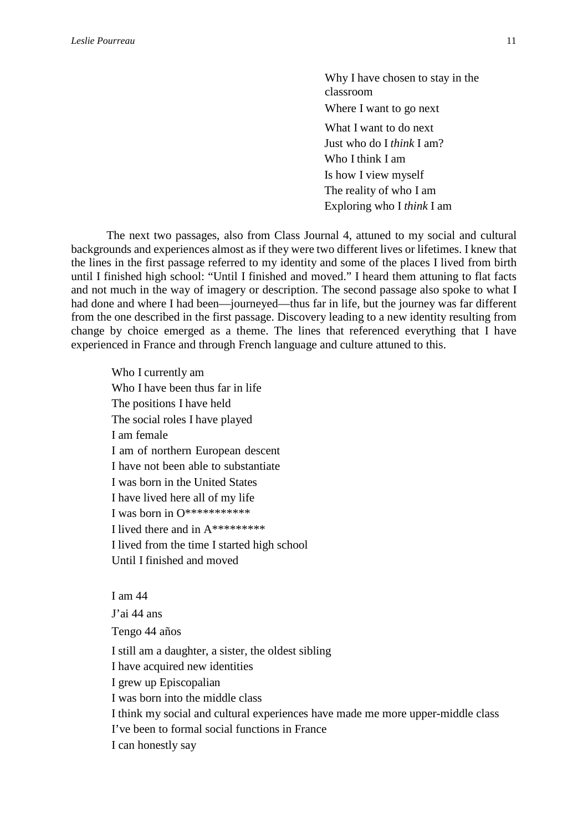Why I have chosen to stay in the classroom Where I want to go next What I want to do next Just who do I *think* I am? Who I think I am Is how I view myself The reality of who I am Exploring who I *think* I am

The next two passages, also from Class Journal 4, attuned to my social and cultural backgrounds and experiences almost as if they were two different lives or lifetimes. I knew that the lines in the first passage referred to my identity and some of the places I lived from birth until I finished high school: "Until I finished and moved." I heard them attuning to flat facts and not much in the way of imagery or description. The second passage also spoke to what I had done and where I had been—journeyed—thus far in life, but the journey was far different from the one described in the first passage. Discovery leading to a new identity resulting from change by choice emerged as a theme. The lines that referenced everything that I have experienced in France and through French language and culture attuned to this.

Who I currently am Who I have been thus far in life The positions I have held The social roles I have played I am female I am of northern European descent I have not been able to substantiate I was born in the United States I have lived here all of my life I was born in O\*\*\*\*\*\*\*\*\*\*\* I lived there and in A\*\*\*\*\*\*\*\*\* I lived from the time I started high school Until I finished and moved

I am 44

J'ai 44 ans Tengo 44 años I still am a daughter, a sister, the oldest sibling I have acquired new identities I grew up Episcopalian I was born into the middle class I think my social and cultural experiences have made me more upper-middle class I've been to formal social functions in France I can honestly say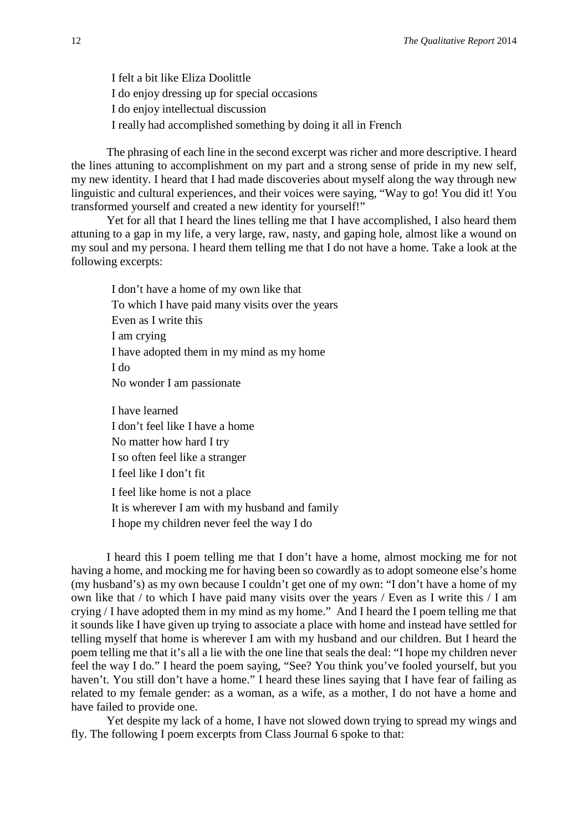I felt a bit like Eliza Doolittle I do enjoy dressing up for special occasions I do enjoy intellectual discussion I really had accomplished something by doing it all in French

The phrasing of each line in the second excerpt was richer and more descriptive. I heard the lines attuning to accomplishment on my part and a strong sense of pride in my new self, my new identity. I heard that I had made discoveries about myself along the way through new linguistic and cultural experiences, and their voices were saying, "Way to go! You did it! You transformed yourself and created a new identity for yourself!"

Yet for all that I heard the lines telling me that I have accomplished, I also heard them attuning to a gap in my life, a very large, raw, nasty, and gaping hole, almost like a wound on my soul and my persona. I heard them telling me that I do not have a home. Take a look at the following excerpts:

I don't have a home of my own like that To which I have paid many visits over the years Even as I write this I am crying I have adopted them in my mind as my home I do No wonder I am passionate

I have learned I don't feel like I have a home No matter how hard I try I so often feel like a stranger I feel like I don't fit I feel like home is not a place It is wherever I am with my husband and family I hope my children never feel the way I do

I heard this I poem telling me that I don't have a home, almost mocking me for not having a home, and mocking me for having been so cowardly as to adopt someone else's home (my husband's) as my own because I couldn't get one of my own: "I don't have a home of my own like that / to which I have paid many visits over the years / Even as I write this / I am crying / I have adopted them in my mind as my home." And I heard the I poem telling me that it sounds like I have given up trying to associate a place with home and instead have settled for telling myself that home is wherever I am with my husband and our children. But I heard the poem telling me that it's all a lie with the one line that seals the deal: "I hope my children never feel the way I do." I heard the poem saying, "See? You think you've fooled yourself, but you haven't. You still don't have a home." I heard these lines saying that I have fear of failing as related to my female gender: as a woman, as a wife, as a mother, I do not have a home and have failed to provide one.

Yet despite my lack of a home, I have not slowed down trying to spread my wings and fly. The following I poem excerpts from Class Journal 6 spoke to that: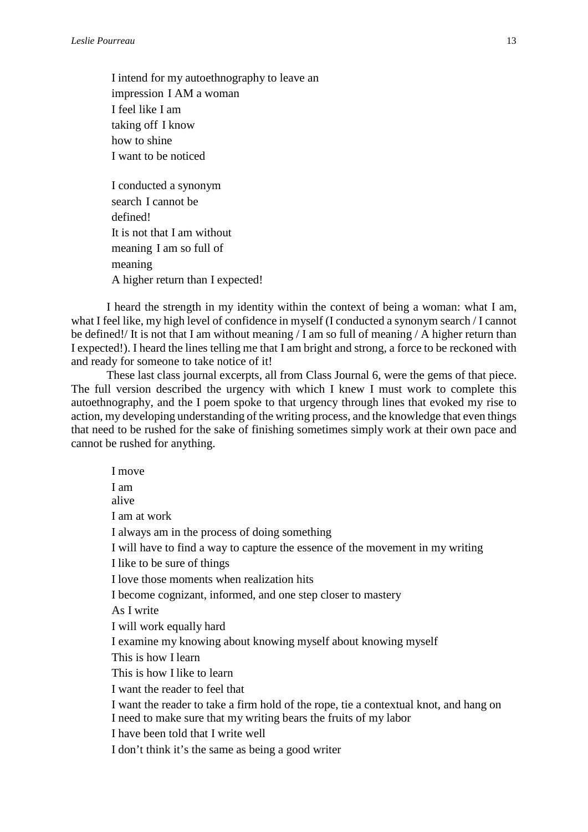I intend for my autoethnography to leave an impression I AM a woman I feel like I am taking off I know how to shine I want to be noticed

I conducted a synonym search I cannot be defined! It is not that I am without meaning I am so full of meaning A higher return than I expected!

I heard the strength in my identity within the context of being a woman: what I am, what I feel like, my high level of confidence in myself (I conducted a synonym search / I cannot be defined!/ It is not that I am without meaning / I am so full of meaning / A higher return than I expected!). I heard the lines telling me that I am bright and strong, a force to be reckoned with and ready for someone to take notice of it!

These last class journal excerpts, all from Class Journal 6, were the gems of that piece. The full version described the urgency with which I knew I must work to complete this autoethnography, and the I poem spoke to that urgency through lines that evoked my rise to action, my developing understanding of the writing process, and the knowledge that even things that need to be rushed for the sake of finishing sometimes simply work at their own pace and cannot be rushed for anything.

I move I am alive I am at work I always am in the process of doing something I will have to find a way to capture the essence of the movement in my writing I like to be sure of things I love those moments when realization hits I become cognizant, informed, and one step closer to mastery As I write I will work equally hard I examine my knowing about knowing myself about knowing myself This is how I learn This is how I like to learn I want the reader to feel that I want the reader to take a firm hold of the rope, tie a contextual knot, and hang on I need to make sure that my writing bears the fruits of my labor I have been told that I write well I don't think it's the same as being a good writer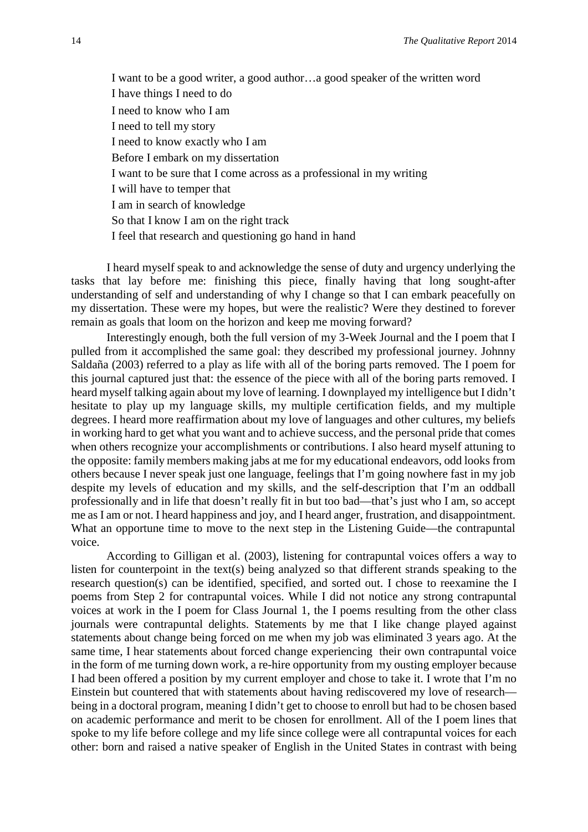I want to be a good writer, a good author…a good speaker of the written word I have things I need to do I need to know who I am I need to tell my story I need to know exactly who I am Before I embark on my dissertation I want to be sure that I come across as a professional in my writing I will have to temper that I am in search of knowledge So that I know I am on the right track I feel that research and questioning go hand in hand

I heard myself speak to and acknowledge the sense of duty and urgency underlying the tasks that lay before me: finishing this piece, finally having that long sought-after understanding of self and understanding of why I change so that I can embark peacefully on my dissertation. These were my hopes, but were the realistic? Were they destined to forever remain as goals that loom on the horizon and keep me moving forward?

Interestingly enough, both the full version of my 3-Week Journal and the I poem that I pulled from it accomplished the same goal: they described my professional journey. Johnny Saldaña (2003) referred to a play as life with all of the boring parts removed. The I poem for this journal captured just that: the essence of the piece with all of the boring parts removed. I heard myself talking again about my love of learning. I downplayed my intelligence but I didn't hesitate to play up my language skills, my multiple certification fields, and my multiple degrees. I heard more reaffirmation about my love of languages and other cultures, my beliefs in working hard to get what you want and to achieve success, and the personal pride that comes when others recognize your accomplishments or contributions. I also heard myself attuning to the opposite: family members making jabs at me for my educational endeavors, odd looks from others because I never speak just one language, feelings that I'm going nowhere fast in my job despite my levels of education and my skills, and the self-description that I'm an oddball professionally and in life that doesn't really fit in but too bad—that's just who I am, so accept me as I am or not. I heard happiness and joy, and I heard anger, frustration, and disappointment. What an opportune time to move to the next step in the Listening Guide—the contrapuntal voice.

According to Gilligan et al. (2003), listening for contrapuntal voices offers a way to listen for counterpoint in the text(s) being analyzed so that different strands speaking to the research question(s) can be identified, specified, and sorted out. I chose to reexamine the I poems from Step 2 for contrapuntal voices. While I did not notice any strong contrapuntal voices at work in the I poem for Class Journal 1, the I poems resulting from the other class journals were contrapuntal delights. Statements by me that I like change played against statements about change being forced on me when my job was eliminated 3 years ago. At the same time, I hear statements about forced change experiencing their own contrapuntal voice in the form of me turning down work, a re-hire opportunity from my ousting employer because I had been offered a position by my current employer and chose to take it. I wrote that I'm no Einstein but countered that with statements about having rediscovered my love of research being in a doctoral program, meaning I didn't get to choose to enroll but had to be chosen based on academic performance and merit to be chosen for enrollment. All of the I poem lines that spoke to my life before college and my life since college were all contrapuntal voices for each other: born and raised a native speaker of English in the United States in contrast with being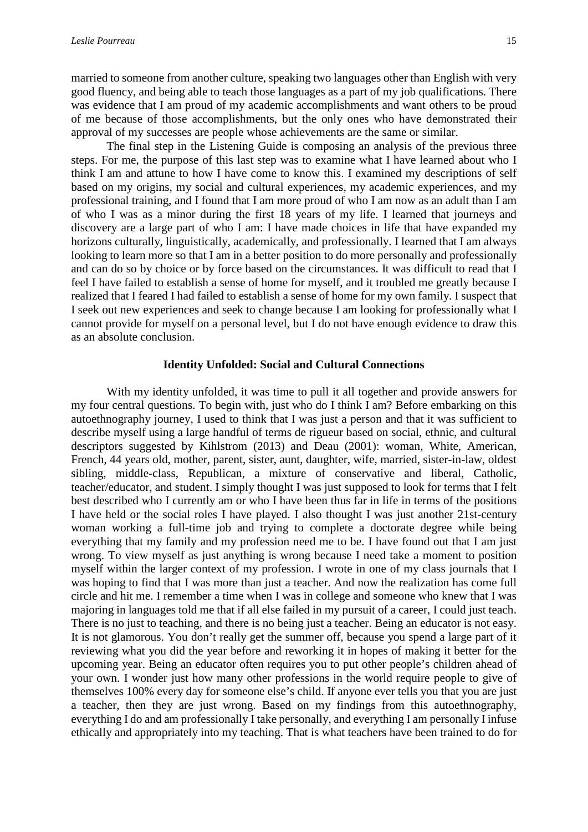married to someone from another culture, speaking two languages other than English with very good fluency, and being able to teach those languages as a part of my job qualifications. There was evidence that I am proud of my academic accomplishments and want others to be proud of me because of those accomplishments, but the only ones who have demonstrated their approval of my successes are people whose achievements are the same or similar.

The final step in the Listening Guide is composing an analysis of the previous three steps. For me, the purpose of this last step was to examine what I have learned about who I think I am and attune to how I have come to know this. I examined my descriptions of self based on my origins, my social and cultural experiences, my academic experiences, and my professional training, and I found that I am more proud of who I am now as an adult than I am of who I was as a minor during the first 18 years of my life. I learned that journeys and discovery are a large part of who I am: I have made choices in life that have expanded my horizons culturally, linguistically, academically, and professionally. I learned that I am always looking to learn more so that I am in a better position to do more personally and professionally and can do so by choice or by force based on the circumstances. It was difficult to read that I feel I have failed to establish a sense of home for myself, and it troubled me greatly because I realized that I feared I had failed to establish a sense of home for my own family. I suspect that I seek out new experiences and seek to change because I am looking for professionally what I cannot provide for myself on a personal level, but I do not have enough evidence to draw this as an absolute conclusion.

#### **Identity Unfolded: Social and Cultural Connections**

With my identity unfolded, it was time to pull it all together and provide answers for my four central questions. To begin with, just who do I think I am? Before embarking on this autoethnography journey, I used to think that I was just a person and that it was sufficient to describe myself using a large handful of terms de rigueur based on social, ethnic, and cultural descriptors suggested by Kihlstrom (2013) and Deau (2001): woman, White, American, French, 44 years old, mother, parent, sister, aunt, daughter, wife, married, sister-in-law, oldest sibling, middle-class, Republican, a mixture of conservative and liberal, Catholic, teacher/educator, and student. I simply thought I was just supposed to look for terms that I felt best described who I currently am or who I have been thus far in life in terms of the positions I have held or the social roles I have played. I also thought I was just another 21st-century woman working a full-time job and trying to complete a doctorate degree while being everything that my family and my profession need me to be. I have found out that I am just wrong. To view myself as just anything is wrong because I need take a moment to position myself within the larger context of my profession. I wrote in one of my class journals that I was hoping to find that I was more than just a teacher. And now the realization has come full circle and hit me. I remember a time when I was in college and someone who knew that I was majoring in languages told me that if all else failed in my pursuit of a career, I could just teach. There is no just to teaching, and there is no being just a teacher. Being an educator is not easy. It is not glamorous. You don't really get the summer off, because you spend a large part of it reviewing what you did the year before and reworking it in hopes of making it better for the upcoming year. Being an educator often requires you to put other people's children ahead of your own. I wonder just how many other professions in the world require people to give of themselves 100% every day for someone else's child. If anyone ever tells you that you are just a teacher, then they are just wrong. Based on my findings from this autoethnography, everything I do and am professionally I take personally, and everything I am personally I infuse ethically and appropriately into my teaching. That is what teachers have been trained to do for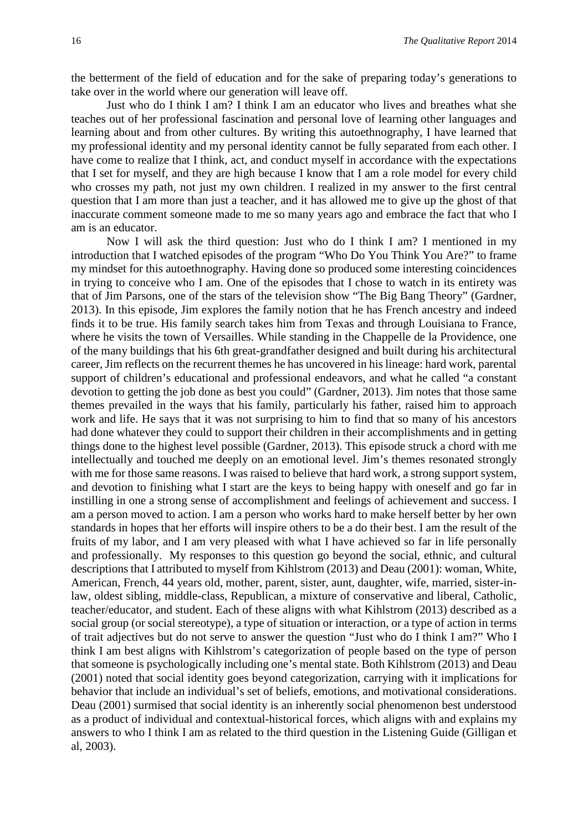the betterment of the field of education and for the sake of preparing today's generations to take over in the world where our generation will leave off.

Just who do I think I am? I think I am an educator who lives and breathes what she teaches out of her professional fascination and personal love of learning other languages and learning about and from other cultures. By writing this autoethnography, I have learned that my professional identity and my personal identity cannot be fully separated from each other. I have come to realize that I think, act, and conduct myself in accordance with the expectations that I set for myself, and they are high because I know that I am a role model for every child who crosses my path, not just my own children. I realized in my answer to the first central question that I am more than just a teacher, and it has allowed me to give up the ghost of that inaccurate comment someone made to me so many years ago and embrace the fact that who I am is an educator.

Now I will ask the third question: Just who do I think I am? I mentioned in my introduction that I watched episodes of the program "Who Do You Think You Are?" to frame my mindset for this autoethnography. Having done so produced some interesting coincidences in trying to conceive who I am. One of the episodes that I chose to watch in its entirety was that of Jim Parsons, one of the stars of the television show "The Big Bang Theory" (Gardner, 2013). In this episode, Jim explores the family notion that he has French ancestry and indeed finds it to be true. His family search takes him from Texas and through Louisiana to France, where he visits the town of Versailles. While standing in the Chappelle de la Providence, one of the many buildings that his 6th great-grandfather designed and built during his architectural career, Jim reflects on the recurrent themes he has uncovered in his lineage: hard work, parental support of children's educational and professional endeavors, and what he called "a constant devotion to getting the job done as best you could" (Gardner, 2013). Jim notes that those same themes prevailed in the ways that his family, particularly his father, raised him to approach work and life. He says that it was not surprising to him to find that so many of his ancestors had done whatever they could to support their children in their accomplishments and in getting things done to the highest level possible (Gardner, 2013). This episode struck a chord with me intellectually and touched me deeply on an emotional level. Jim's themes resonated strongly with me for those same reasons. I was raised to believe that hard work, a strong support system, and devotion to finishing what I start are the keys to being happy with oneself and go far in instilling in one a strong sense of accomplishment and feelings of achievement and success. I am a person moved to action. I am a person who works hard to make herself better by her own standards in hopes that her efforts will inspire others to be a do their best. I am the result of the fruits of my labor, and I am very pleased with what I have achieved so far in life personally and professionally. My responses to this question go beyond the social, ethnic, and cultural descriptions that I attributed to myself from Kihlstrom (2013) and Deau (2001): woman, White, American, French, 44 years old, mother, parent, sister, aunt, daughter, wife, married, sister-inlaw, oldest sibling, middle-class, Republican, a mixture of conservative and liberal, Catholic, teacher/educator, and student. Each of these aligns with what Kihlstrom (2013) described as a social group (or social stereotype), a type of situation or interaction, or a type of action in terms of trait adjectives but do not serve to answer the question "Just who do I think I am?" Who I think I am best aligns with Kihlstrom's categorization of people based on the type of person that someone is psychologically including one's mental state. Both Kihlstrom (2013) and Deau (2001) noted that social identity goes beyond categorization, carrying with it implications for behavior that include an individual's set of beliefs, emotions, and motivational considerations. Deau (2001) surmised that social identity is an inherently social phenomenon best understood as a product of individual and contextual-historical forces, which aligns with and explains my answers to who I think I am as related to the third question in the Listening Guide (Gilligan et al, 2003).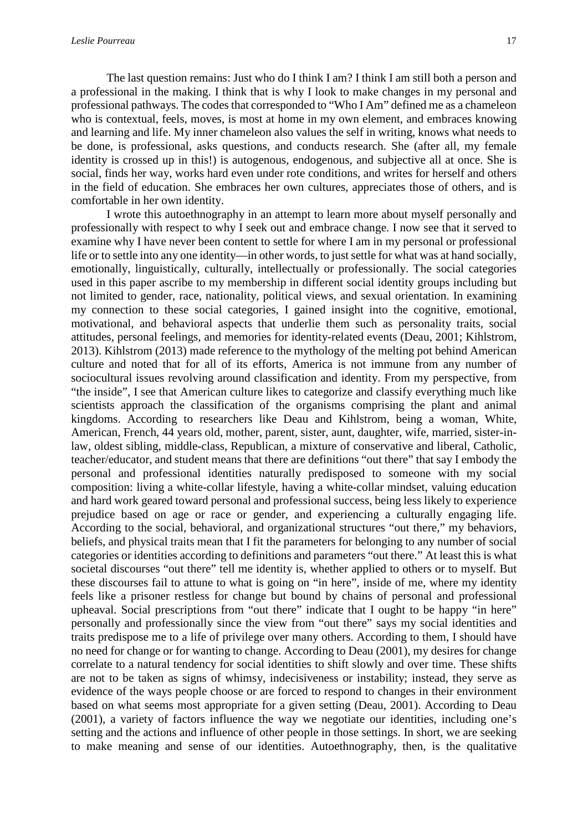The last question remains: Just who do I think I am? I think I am still both a person and a professional in the making. I think that is why I look to make changes in my personal and professional pathways. The codes that corresponded to "Who I Am" defined me as a chameleon who is contextual, feels, moves, is most at home in my own element, and embraces knowing and learning and life. My inner chameleon also values the self in writing, knows what needs to be done, is professional, asks questions, and conducts research. She (after all, my female identity is crossed up in this!) is autogenous, endogenous, and subjective all at once. She is social, finds her way, works hard even under rote conditions, and writes for herself and others in the field of education. She embraces her own cultures, appreciates those of others, and is comfortable in her own identity.

I wrote this autoethnography in an attempt to learn more about myself personally and professionally with respect to why I seek out and embrace change. I now see that it served to examine why I have never been content to settle for where I am in my personal or professional life or to settle into any one identity—in other words, to just settle for what was at hand socially, emotionally, linguistically, culturally, intellectually or professionally. The social categories used in this paper ascribe to my membership in different social identity groups including but not limited to gender, race, nationality, political views, and sexual orientation. In examining my connection to these social categories, I gained insight into the cognitive, emotional, motivational, and behavioral aspects that underlie them such as personality traits, social attitudes, personal feelings, and memories for identity-related events (Deau, 2001; Kihlstrom, 2013). Kihlstrom (2013) made reference to the mythology of the melting pot behind American culture and noted that for all of its efforts, America is not immune from any number of sociocultural issues revolving around classification and identity. From my perspective, from "the inside", I see that American culture likes to categorize and classify everything much like scientists approach the classification of the organisms comprising the plant and animal kingdoms. According to researchers like Deau and Kihlstrom, being a woman, White, American, French, 44 years old, mother, parent, sister, aunt, daughter, wife, married, sister-inlaw, oldest sibling, middle-class, Republican, a mixture of conservative and liberal, Catholic, teacher/educator, and student means that there are definitions "out there" that say I embody the personal and professional identities naturally predisposed to someone with my social composition: living a white-collar lifestyle, having a white-collar mindset, valuing education and hard work geared toward personal and professional success, being less likely to experience prejudice based on age or race or gender, and experiencing a culturally engaging life. According to the social, behavioral, and organizational structures "out there," my behaviors, beliefs, and physical traits mean that I fit the parameters for belonging to any number of social categories or identities according to definitions and parameters "out there." At least this is what societal discourses "out there" tell me identity is, whether applied to others or to myself. But these discourses fail to attune to what is going on "in here", inside of me, where my identity feels like a prisoner restless for change but bound by chains of personal and professional upheaval. Social prescriptions from "out there" indicate that I ought to be happy "in here" personally and professionally since the view from "out there" says my social identities and traits predispose me to a life of privilege over many others. According to them, I should have no need for change or for wanting to change. According to Deau (2001), my desires for change correlate to a natural tendency for social identities to shift slowly and over time. These shifts are not to be taken as signs of whimsy, indecisiveness or instability; instead, they serve as evidence of the ways people choose or are forced to respond to changes in their environment based on what seems most appropriate for a given setting (Deau, 2001). According to Deau (2001), a variety of factors influence the way we negotiate our identities, including one's setting and the actions and influence of other people in those settings. In short, we are seeking to make meaning and sense of our identities. Autoethnography, then, is the qualitative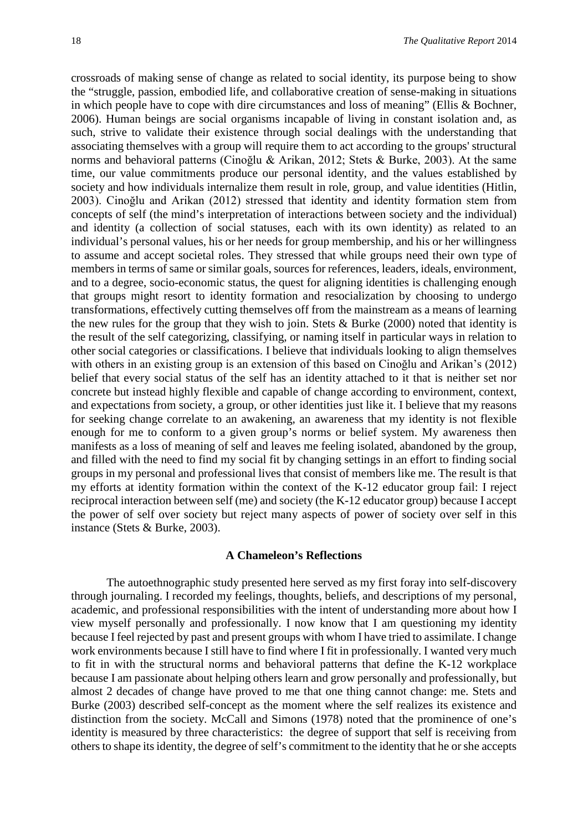crossroads of making sense of change as related to social identity, its purpose being to show the "struggle, passion, embodied life, and collaborative creation of sense-making in situations in which people have to cope with dire circumstances and loss of meaning" (Ellis & Bochner, 2006). Human beings are social organisms incapable of living in constant isolation and, as such, strive to validate their existence through social dealings with the understanding that associating themselves with a group will require them to act according to the groups' structural norms and behavioral patterns (Cinoğlu & Arikan, 2012; Stets & Burke, 2003). At the same time, our value commitments produce our personal identity, and the values established by society and how individuals internalize them result in role, group, and value identities (Hitlin, 2003). Cinoğlu and Arikan (2012) stressed that identity and identity formation stem from concepts of self (the mind's interpretation of interactions between society and the individual) and identity (a collection of social statuses, each with its own identity) as related to an individual's personal values, his or her needs for group membership, and his or her willingness to assume and accept societal roles. They stressed that while groups need their own type of members in terms of same or similar goals, sources for references, leaders, ideals, environment, and to a degree, socio-economic status, the quest for aligning identities is challenging enough that groups might resort to identity formation and resocialization by choosing to undergo transformations, effectively cutting themselves off from the mainstream as a means of learning the new rules for the group that they wish to join. Stets  $\&$  Burke (2000) noted that identity is the result of the self categorizing, classifying, or naming itself in particular ways in relation to other social categories or classifications. I believe that individuals looking to align themselves with others in an existing group is an extension of this based on Cinoğlu and Arikan's (2012) belief that every social status of the self has an identity attached to it that is neither set nor concrete but instead highly flexible and capable of change according to environment, context, and expectations from society, a group, or other identities just like it. I believe that my reasons for seeking change correlate to an awakening, an awareness that my identity is not flexible enough for me to conform to a given group's norms or belief system. My awareness then manifests as a loss of meaning of self and leaves me feeling isolated, abandoned by the group, and filled with the need to find my social fit by changing settings in an effort to finding social groups in my personal and professional lives that consist of members like me. The result is that my efforts at identity formation within the context of the K-12 educator group fail: I reject reciprocal interaction between self (me) and society (the K-12 educator group) because I accept the power of self over society but reject many aspects of power of society over self in this instance (Stets & Burke, 2003).

#### **A Chameleon's Reflections**

The autoethnographic study presented here served as my first foray into self-discovery through journaling. I recorded my feelings, thoughts, beliefs, and descriptions of my personal, academic, and professional responsibilities with the intent of understanding more about how I view myself personally and professionally. I now know that I am questioning my identity because I feel rejected by past and present groups with whom I have tried to assimilate. I change work environments because I still have to find where I fit in professionally. I wanted very much to fit in with the structural norms and behavioral patterns that define the K-12 workplace because I am passionate about helping others learn and grow personally and professionally, but almost 2 decades of change have proved to me that one thing cannot change: me. Stets and Burke (2003) described self-concept as the moment where the self realizes its existence and distinction from the society. McCall and Simons (1978) noted that the prominence of one's identity is measured by three characteristics: the degree of support that self is receiving from others to shape its identity, the degree of self's commitment to the identity that he or she accepts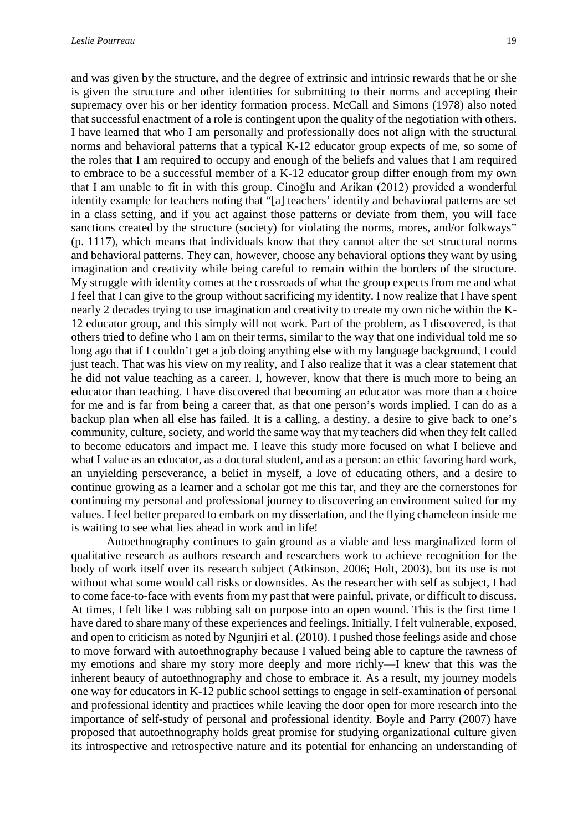and was given by the structure, and the degree of extrinsic and intrinsic rewards that he or she is given the structure and other identities for submitting to their norms and accepting their supremacy over his or her identity formation process. McCall and Simons (1978) also noted that successful enactment of a role is contingent upon the quality of the negotiation with others. I have learned that who I am personally and professionally does not align with the structural norms and behavioral patterns that a typical K-12 educator group expects of me, so some of the roles that I am required to occupy and enough of the beliefs and values that I am required to embrace to be a successful member of a K-12 educator group differ enough from my own that I am unable to fit in with this group. Cinoğlu and Arikan (2012) provided a wonderful identity example for teachers noting that "[a] teachers' identity and behavioral patterns are set in a class setting, and if you act against those patterns or deviate from them, you will face sanctions created by the structure (society) for violating the norms, mores, and/or folkways" (p. 1117), which means that individuals know that they cannot alter the set structural norms and behavioral patterns. They can, however, choose any behavioral options they want by using imagination and creativity while being careful to remain within the borders of the structure. My struggle with identity comes at the crossroads of what the group expects from me and what I feel that I can give to the group without sacrificing my identity. I now realize that I have spent nearly 2 decades trying to use imagination and creativity to create my own niche within the K-12 educator group, and this simply will not work. Part of the problem, as I discovered, is that others tried to define who I am on their terms, similar to the way that one individual told me so long ago that if I couldn't get a job doing anything else with my language background, I could just teach. That was his view on my reality, and I also realize that it was a clear statement that he did not value teaching as a career. I, however, know that there is much more to being an educator than teaching. I have discovered that becoming an educator was more than a choice for me and is far from being a career that, as that one person's words implied, I can do as a backup plan when all else has failed. It is a calling, a destiny, a desire to give back to one's community, culture, society, and world the same way that my teachers did when they felt called to become educators and impact me. I leave this study more focused on what I believe and what I value as an educator, as a doctoral student, and as a person: an ethic favoring hard work, an unyielding perseverance, a belief in myself, a love of educating others, and a desire to continue growing as a learner and a scholar got me this far, and they are the cornerstones for continuing my personal and professional journey to discovering an environment suited for my values. I feel better prepared to embark on my dissertation, and the flying chameleon inside me is waiting to see what lies ahead in work and in life!

Autoethnography continues to gain ground as a viable and less marginalized form of qualitative research as authors research and researchers work to achieve recognition for the body of work itself over its research subject (Atkinson, 2006; Holt, 2003), but its use is not without what some would call risks or downsides. As the researcher with self as subject, I had to come face-to-face with events from my past that were painful, private, or difficult to discuss. At times, I felt like I was rubbing salt on purpose into an open wound. This is the first time I have dared to share many of these experiences and feelings. Initially, I felt vulnerable, exposed, and open to criticism as noted by Ngunjiri et al. (2010). I pushed those feelings aside and chose to move forward with autoethnography because I valued being able to capture the rawness of my emotions and share my story more deeply and more richly—I knew that this was the inherent beauty of autoethnography and chose to embrace it. As a result, my journey models one way for educators in K-12 public school settings to engage in self-examination of personal and professional identity and practices while leaving the door open for more research into the importance of self-study of personal and professional identity. Boyle and Parry (2007) have proposed that autoethnography holds great promise for studying organizational culture given its introspective and retrospective nature and its potential for enhancing an understanding of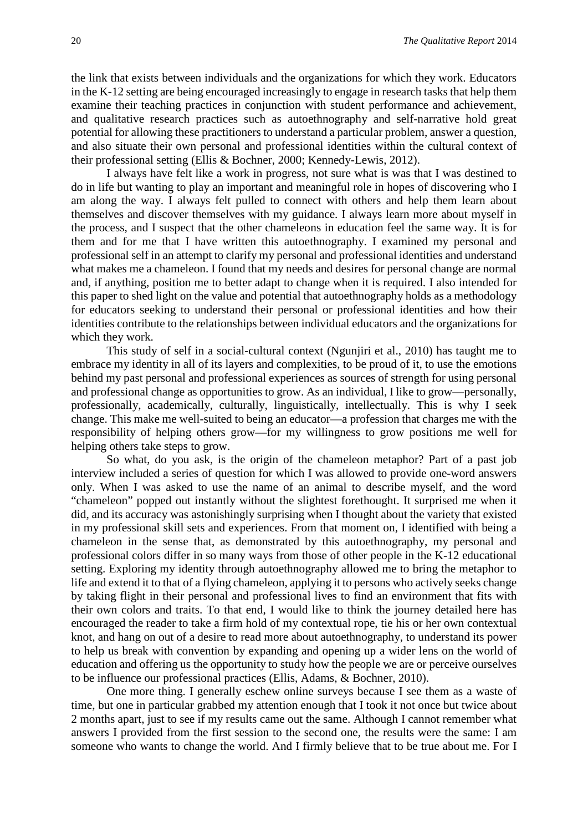the link that exists between individuals and the organizations for which they work. Educators in the K-12 setting are being encouraged increasingly to engage in research tasks that help them examine their teaching practices in conjunction with student performance and achievement, and qualitative research practices such as autoethnography and self-narrative hold great potential for allowing these practitioners to understand a particular problem, answer a question, and also situate their own personal and professional identities within the cultural context of their professional setting (Ellis & Bochner, 2000; Kennedy-Lewis, 2012).

I always have felt like a work in progress, not sure what is was that I was destined to do in life but wanting to play an important and meaningful role in hopes of discovering who I am along the way. I always felt pulled to connect with others and help them learn about themselves and discover themselves with my guidance. I always learn more about myself in the process, and I suspect that the other chameleons in education feel the same way. It is for them and for me that I have written this autoethnography. I examined my personal and professional self in an attempt to clarify my personal and professional identities and understand what makes me a chameleon. I found that my needs and desires for personal change are normal and, if anything, position me to better adapt to change when it is required. I also intended for this paper to shed light on the value and potential that autoethnography holds as a methodology for educators seeking to understand their personal or professional identities and how their identities contribute to the relationships between individual educators and the organizations for which they work.

This study of self in a social-cultural context (Ngunjiri et al., 2010) has taught me to embrace my identity in all of its layers and complexities, to be proud of it, to use the emotions behind my past personal and professional experiences as sources of strength for using personal and professional change as opportunities to grow. As an individual, I like to grow—personally, professionally, academically, culturally, linguistically, intellectually. This is why I seek change. This make me well-suited to being an educator—a profession that charges me with the responsibility of helping others grow—for my willingness to grow positions me well for helping others take steps to grow.

So what, do you ask, is the origin of the chameleon metaphor? Part of a past job interview included a series of question for which I was allowed to provide one-word answers only. When I was asked to use the name of an animal to describe myself, and the word "chameleon" popped out instantly without the slightest forethought. It surprised me when it did, and its accuracy was astonishingly surprising when I thought about the variety that existed in my professional skill sets and experiences. From that moment on, I identified with being a chameleon in the sense that, as demonstrated by this autoethnography, my personal and professional colors differ in so many ways from those of other people in the K-12 educational setting. Exploring my identity through autoethnography allowed me to bring the metaphor to life and extend it to that of a flying chameleon, applying it to persons who actively seeks change by taking flight in their personal and professional lives to find an environment that fits with their own colors and traits. To that end, I would like to think the journey detailed here has encouraged the reader to take a firm hold of my contextual rope, tie his or her own contextual knot, and hang on out of a desire to read more about autoethnography, to understand its power to help us break with convention by expanding and opening up a wider lens on the world of education and offering us the opportunity to study how the people we are or perceive ourselves to be influence our professional practices (Ellis, Adams, & Bochner, 2010).

One more thing. I generally eschew online surveys because I see them as a waste of time, but one in particular grabbed my attention enough that I took it not once but twice about 2 months apart, just to see if my results came out the same. Although I cannot remember what answers I provided from the first session to the second one, the results were the same: I am someone who wants to change the world. And I firmly believe that to be true about me. For I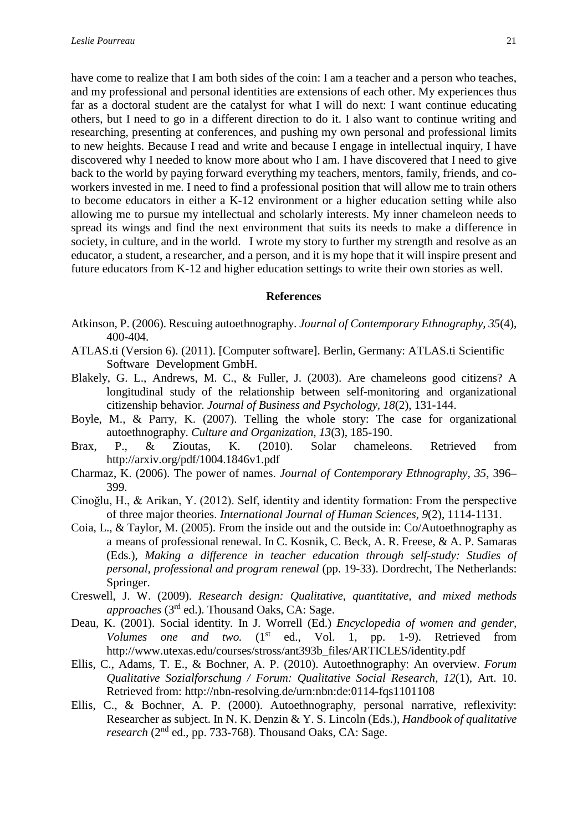have come to realize that I am both sides of the coin: I am a teacher and a person who teaches, and my professional and personal identities are extensions of each other. My experiences thus far as a doctoral student are the catalyst for what I will do next: I want continue educating others, but I need to go in a different direction to do it. I also want to continue writing and researching, presenting at conferences, and pushing my own personal and professional limits to new heights. Because I read and write and because I engage in intellectual inquiry, I have discovered why I needed to know more about who I am. I have discovered that I need to give back to the world by paying forward everything my teachers, mentors, family, friends, and coworkers invested in me. I need to find a professional position that will allow me to train others to become educators in either a K-12 environment or a higher education setting while also allowing me to pursue my intellectual and scholarly interests. My inner chameleon needs to spread its wings and find the next environment that suits its needs to make a difference in society, in culture, and in the world. I wrote my story to further my strength and resolve as an educator, a student, a researcher, and a person, and it is my hope that it will inspire present and future educators from K-12 and higher education settings to write their own stories as well.

#### **References**

- Atkinson, P. (2006). Rescuing autoethnography. *Journal of Contemporary Ethnography, 35*(4), 400-404.
- ATLAS.ti (Version 6). (2011). [Computer software]. Berlin, Germany: ATLAS.ti Scientific Software Development GmbH.
- Blakely, G. L., Andrews, M. C., & Fuller, J. (2003). Are chameleons good citizens? A longitudinal study of the relationship between self-monitoring and organizational citizenship behavior. *Journal of Business and Psychology, 18*(2), 131-144.
- Boyle, M., & Parry, K. (2007). Telling the whole story: The case for organizational autoethnography. *Culture and Organization, 13*(3), 185-190.
- Brax, P., & Zioutas, K. (2010). Solar chameleons. Retrieved from http://arxiv.org/pdf/1004.1846v1.pdf
- Charmaz, K. (2006). The power of names. *Journal of Contemporary Ethnography, 35*, 396– 399.
- Cinoğlu, H., & Arikan, Y. (2012). Self, identity and identity formation: From the perspective of three major theories. *International Journal of Human Sciences, 9*(2), 1114-1131.
- Coia, L., & Taylor, M. (2005). From the inside out and the outside in: Co/Autoethnography as a means of professional renewal. In C. Kosnik, C. Beck, A. R. Freese, & A. P. Samaras (Eds.), *Making a difference in teacher education through self-study: Studies of personal, professional and program renewal* (pp. 19-33). Dordrecht, The Netherlands: Springer.
- Creswell, J. W. (2009). *Research design: Qualitative, quantitative, and mixed methods approaches* (3rd ed.). Thousand Oaks, CA: Sage.
- Deau, K. (2001). Social identity. In J. Worrell (Ed.) *Encyclopedia of women and gender, Volumes one and two.* (1<sup>st</sup> ed., Vol. 1, pp. 1-9). Retrieved from http://www.utexas.edu/courses/stross/ant393b\_files/ARTICLES/identity.pdf
- Ellis, C., Adams, T. E., & Bochner, A. P. (2010). Autoethnography: An overview. *Forum Qualitative Sozialforschung / Forum: Qualitative Social Research, 12*(1), Art. 10. Retrieved from: http://nbn-resolving.de/urn:nbn:de:0114-fqs1101108
- Ellis, C., & Bochner, A. P. (2000). Autoethnography, personal narrative, reflexivity: Researcher as subject. In N. K. Denzin & Y. S. Lincoln (Eds.), *Handbook of qualitative research* (2nd ed., pp. 733-768). Thousand Oaks, CA: Sage.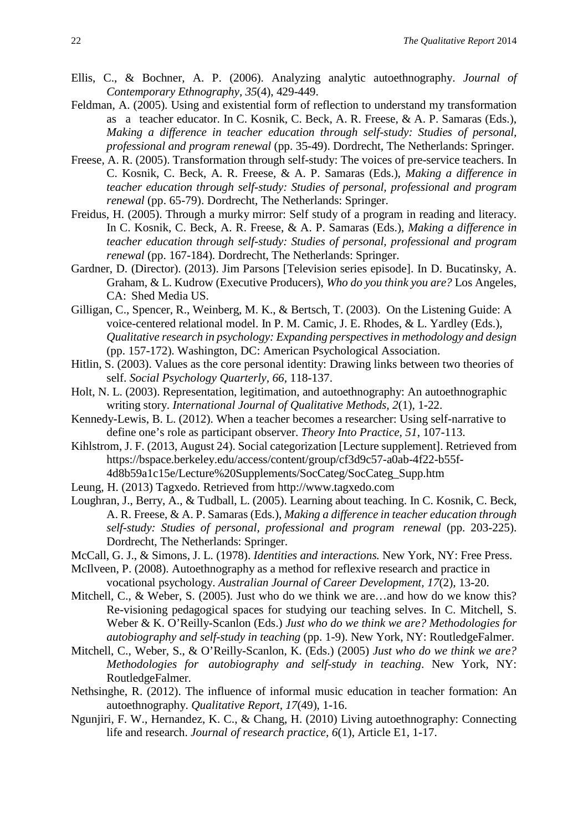- Ellis, C., & Bochner, A. P. (2006). Analyzing analytic autoethnography. *Journal of Contemporary Ethnography, 35*(4), 429-449.
- Feldman, A. (2005). Using and existential form of reflection to understand my transformation as a teacher educator. In C. Kosnik, C. Beck, A. R. Freese, & A. P. Samaras (Eds.), *Making a difference in teacher education through self-study: Studies of personal, professional and program renewal* (pp. 35-49). Dordrecht, The Netherlands: Springer.
- Freese, A. R. (2005). Transformation through self-study: The voices of pre-service teachers. In C. Kosnik, C. Beck, A. R. Freese, & A. P. Samaras (Eds.), *Making a difference in teacher education through self-study: Studies of personal, professional and program renewal* (pp. 65-79). Dordrecht, The Netherlands: Springer.
- Freidus, H. (2005). Through a murky mirror: Self study of a program in reading and literacy. In C. Kosnik, C. Beck, A. R. Freese, & A. P. Samaras (Eds.), *Making a difference in teacher education through self-study: Studies of personal, professional and program renewal* (pp. 167-184). Dordrecht, The Netherlands: Springer.
- Gardner, D. (Director). (2013). Jim Parsons [Television series episode]. In D. Bucatinsky, A. Graham, & L. Kudrow (Executive Producers), *Who do you think you are?* Los Angeles, CA: Shed Media US.
- Gilligan, C., Spencer, R., Weinberg, M. K., & Bertsch, T. (2003). On the Listening Guide: A voice-centered relational model. In P. M. Camic, J. E. Rhodes, & L. Yardley (Eds.), *Qualitative research in psychology: Expanding perspectives in methodology and design* (pp. 157-172). Washington, DC: American Psychological Association.
- Hitlin, S. (2003). Values as the core personal identity: Drawing links between two theories of self. *Social Psychology Quarterly, 66,* 118-137.
- Holt, N. L. (2003). Representation, legitimation, and autoethnography: An autoethnographic writing story. *International Journal of Qualitative Methods, 2*(1), 1-22.
- Kennedy-Lewis, B. L. (2012). When a teacher becomes a researcher: Using self-narrative to define one's role as participant observer. *Theory Into Practice, 51*, 107-113.
- Kihlstrom, J. F. (2013, August 24). Social categorization [Lecture supplement]. Retrieved from https://bspace.berkeley.edu/access/content/group/cf3d9c57-a0ab-4f22-b55f-[4d8b59a1c15e/Lecture%20Supplements/SocCateg/SocCateg\\_Supp.htm](https://bspace.berkeley.edu/access/content/group/cf3d9c57-a0ab-4f22-b55f-4d8b59a1c15e/Lecture%20Supplements/SocCateg/SocCateg_Supp.htm)
- Leung, H. (2013) Tagxedo. Retrieved from http://www.tagxedo.com
- Loughran, J., Berry, A., & Tudball, L. (2005). Learning about teaching. In C. Kosnik, C. Beck, A. R. Freese, & A. P. Samaras (Eds.), *Making a difference in teacher education through self-study: Studies of personal, professional and program renewal* (pp. 203-225). Dordrecht, The Netherlands: Springer.
- McCall, G. J., & Simons, J. L. (1978). *Identities and interactions.* New York, NY: Free Press.
- McIlveen, P. (2008). Autoethnography as a method for reflexive research and practice in vocational psychology. *Australian Journal of Career Development, 17*(2), 13-20.
- Mitchell, C., & Weber, S. (2005). Just who do we think we are...and how do we know this? Re-visioning pedagogical spaces for studying our teaching selves. In C. Mitchell, S. Weber & K. O'Reilly-Scanlon (Eds.) *Just who do we think we are? Methodologies for autobiography and self-study in teaching* (pp. 1-9). New York, NY: RoutledgeFalmer.
- Mitchell, C., Weber, S., & O'Reilly-Scanlon, K. (Eds.) (2005) *Just who do we think we are? Methodologies for autobiography and self-study in teaching*. New York, NY: RoutledgeFalmer.
- Nethsinghe, R. (2012). The influence of informal music education in teacher formation: An autoethnography. *Qualitative Report, 17*(49), 1-16.
- Ngunjiri, F. W., Hernandez, K. C., & Chang, H. (2010) Living autoethnography: Connecting life and research. *Journal of research practice, 6*(1), Article E1, 1-17.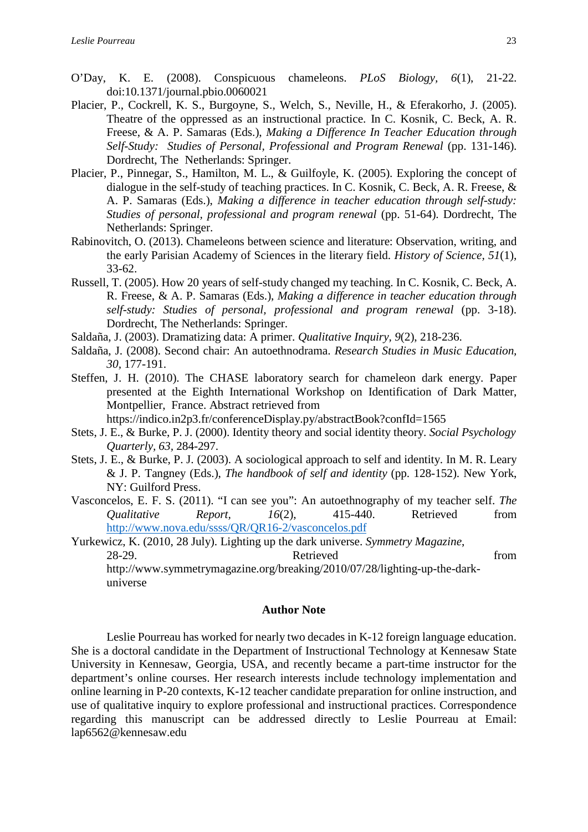- O'Day, K. E. (2008). Conspicuous chameleons. *PLoS Biology, 6*(1), 21-22. doi:10.1371/journal.pbio.0060021
- Placier, P., Cockrell, K. S., Burgoyne, S., Welch, S., Neville, H., & Eferakorho, J. (2005). Theatre of the oppressed as an instructional practice. In C. Kosnik, C. Beck, A. R. Freese, & A. P. Samaras (Eds.), *Making a Difference In Teacher Education through Self-Study: Studies of Personal, Professional and Program Renewal* (pp. 131-146). Dordrecht, The Netherlands: Springer.
- Placier, P., Pinnegar, S., Hamilton, M. L., & Guilfoyle, K. (2005). Exploring the concept of dialogue in the self-study of teaching practices. In C. Kosnik, C. Beck, A. R. Freese, & A. P. Samaras (Eds.), *Making a difference in teacher education through self-study: Studies of personal, professional and program renewal* (pp. 51-64). Dordrecht, The Netherlands: Springer.
- Rabinovitch, O. (2013). Chameleons between science and literature: Observation, writing, and the early Parisian Academy of Sciences in the literary field. *History of Science, 51*(1), 33-62.
- Russell, T. (2005). How 20 years of self-study changed my teaching. In C. Kosnik, C. Beck, A. R. Freese, & A. P. Samaras (Eds.), *Making a difference in teacher education through self-study: Studies of personal, professional and program renewal* (pp. 3-18). Dordrecht, The Netherlands: Springer.
- Saldaña, J. (2003). Dramatizing data: A primer. *Qualitative Inquiry, 9*(2), 218-236.
- Saldaña, J. (2008). Second chair: An autoethnodrama. *Research Studies in Music Education, 30,* 177-191.
- Steffen, J. H. (2010). The CHASE laboratory search for chameleon dark energy. Paper presented at the Eighth International Workshop on Identification of Dark Matter, Montpellier, France. Abstract retrieved from

https://indico.in2p3.fr/conferenceDisplay.py/abstractBook?confId=1565

- Stets, J. E., & Burke, P. J. (2000). Identity theory and social identity theory. *Social Psychology Quarterly, 63,* 284-297.
- Stets, J. E., & Burke, P. J. (2003). A sociological approach to self and identity. In M. R. Leary & J. P. Tangney (Eds.), *The handbook of self and identity* (pp. 128-152). New York, NY: Guilford Press.
- Vasconcelos, E. F. S. (2011). "I can see you": An autoethnography of my teacher self. *The Qualitative Report. 16*(2), 415-440. Retrieved from <http://www.nova.edu/ssss/QR/QR16-2/vasconcelos.pdf>
- Yurkewicz, K. (2010, 28 July). Lighting up the dark universe. *Symmetry Magazine*, 28-29. Retrieved from http://www.symmetrymagazine.org/breaking/2010/07/28/lighting-up-the-darkuniverse

#### **Author Note**

Leslie Pourreau has worked for nearly two decades in K-12 foreign language education. She is a doctoral candidate in the Department of Instructional Technology at Kennesaw State University in Kennesaw, Georgia, USA, and recently became a part-time instructor for the department's online courses. Her research interests include technology implementation and online learning in P-20 contexts, K-12 teacher candidate preparation for online instruction, and use of qualitative inquiry to explore professional and instructional practices. Correspondence regarding this manuscript can be addressed directly to Leslie Pourreau at Email: lap6562@kennesaw.edu